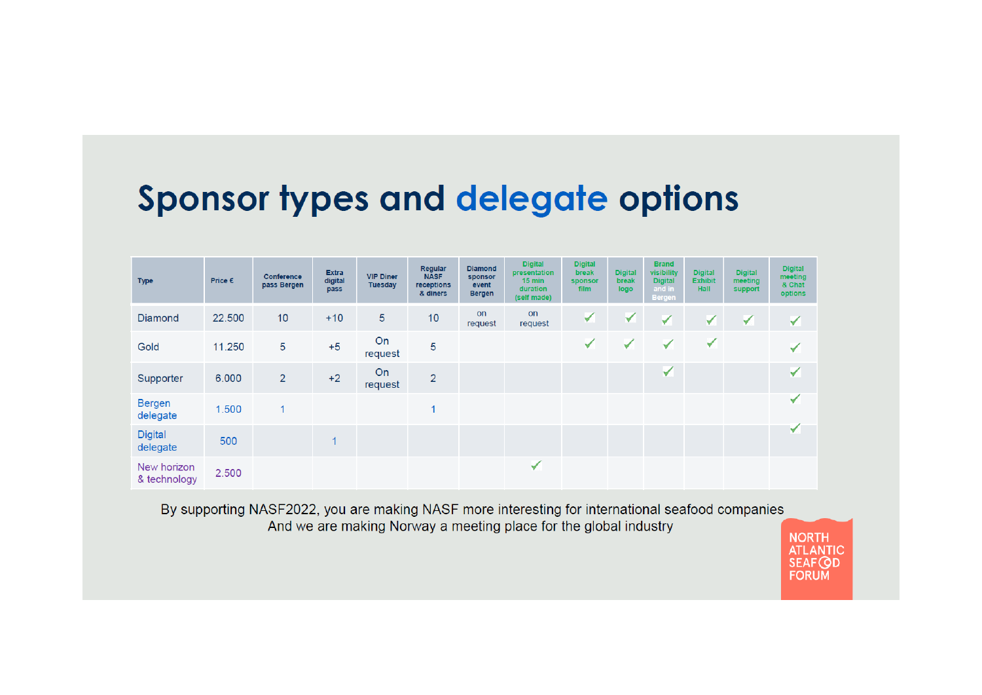## **Sponsor types and delegate options**

| <b>Type</b>                 | Price € | Conference<br>pass Bergen | <b>Extra</b><br>digital<br>pass | <b>VIP Diner</b><br><b>Tuesday</b> | Regular<br><b>NASF</b><br>receptions<br>& diners | <b>Diamond</b><br>sponsor<br>event<br><b>Bergen</b> | <b>Digital</b><br>presentation<br>$15$ min<br>duration<br>(self made) | <b>Digital</b><br><b>break</b><br>sponsor<br><b>film</b> | <b>Digital</b><br>break<br>logo | <b>Brand</b><br><b>visibility</b><br><b>Digital</b><br>and in<br><b>Bergen</b> | <b>Digital</b><br><b>Exhibit</b><br><b>Hall</b> | <b>Digital</b><br>meeting<br>support | <b>Digital</b><br>meeting<br>& Chat<br>options |
|-----------------------------|---------|---------------------------|---------------------------------|------------------------------------|--------------------------------------------------|-----------------------------------------------------|-----------------------------------------------------------------------|----------------------------------------------------------|---------------------------------|--------------------------------------------------------------------------------|-------------------------------------------------|--------------------------------------|------------------------------------------------|
| Diamond                     | 22.500  | 10                        | $+10$                           | 5                                  | 10                                               | on<br>request                                       | <b>on</b><br>request                                                  | ✓                                                        | ✓                               | ✓                                                                              | ✓                                               | ✓                                    | ✓                                              |
| Gold                        | 11.250  | 5                         | $+5$                            | On<br>request                      | 5                                                |                                                     |                                                                       | ✔                                                        | ✓                               | ✓                                                                              | $\blacktriangledown$                            |                                      | ✔                                              |
| Supporter                   | 6.000   | $\overline{2}$            | $+2$                            | On<br>request                      | $\overline{2}$                                   |                                                     |                                                                       |                                                          |                                 | ✔                                                                              |                                                 |                                      | ✓                                              |
| <b>Bergen</b><br>delegate   | 1.500   | 1                         |                                 |                                    |                                                  |                                                     |                                                                       |                                                          |                                 |                                                                                |                                                 |                                      | ✔                                              |
| <b>Digital</b><br>delegate  | 500     |                           |                                 |                                    |                                                  |                                                     |                                                                       |                                                          |                                 |                                                                                |                                                 |                                      | ✓                                              |
| New horizon<br>& technology | 2.500   |                           |                                 |                                    |                                                  |                                                     | ✓                                                                     |                                                          |                                 |                                                                                |                                                 |                                      |                                                |

By supporting NASF2022, you are making NASF more interesting for international seafood companies And we are making Norway a meeting place for the global industry